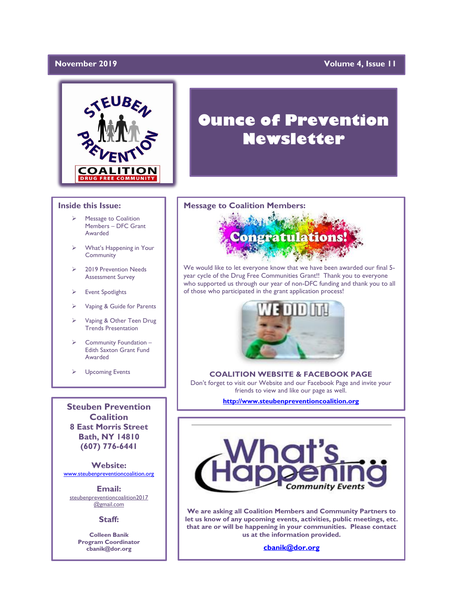#### November 2019

#### **Yolume 4, Issue 11**



#### **Inside this Issue:**

- Message to Coalition Members – DFC Grant Awarded
- What's Happening in Your Community
- ➢ 2019 Prevention Needs Assessment Survey
- **Event Spotlights**
- ➢ Vaping & Guide for Parents
- Vaping & Other Teen Drug Trends Presentation
- Community Foundation -Edith Saxton Grant Fund Awarded
- ➢ Upcoming Events

**Steuben Prevention Coalition 8 East Morris Street Bath, NY 14810 (607) 776-6441**

**Website:**  [www.steubenpreventioncoalition.org](http://www.steubenpreventioncoalition.org/)

**Email:**  steubenpreventioncoalition2017 @gmail.com

**Staff:**

**Colleen Banik Program Coordinator cbanik@dor.org**

# **Ounce of Prevention Newsletter**

#### **Message to Coalition Members:**



We would like to let everyone know that we have been awarded our final 5 year cycle of the Drug Free Communities Grant!! Thank you to everyone who supported us through our year of non-DFC funding and thank you to all of those who participated in the grant application process!



### **COALITION WEBSITE & FACEBOOK PAGE**

Don't forget to visit our Website and our Facebook Page and invite your friends to view and like our page as well.

**[http://www.steubenpreventioncoalition.org](http://www.steubenpreventioncoalition.org/)**



**We are asking all Coalition Members and Community Partners to let us know of any upcoming events, activities, public meetings, etc. that are or will be happening in your communities. Please contact us at the information provided.**

**[cbanik@dor.org](mailto:cbanik@dor.org)**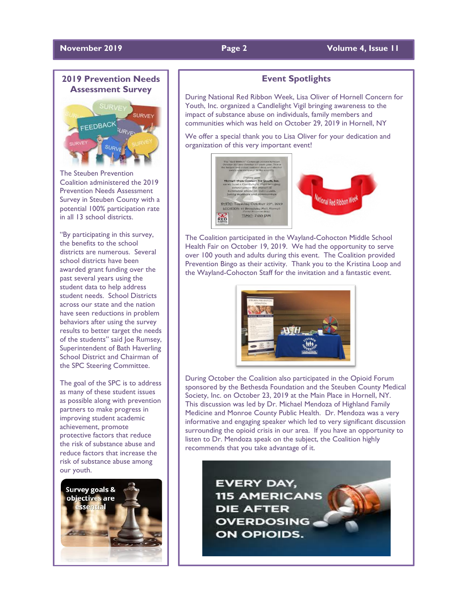### **November 2019 Page 2 Page 2 Volume 4, Issue 11**

# **2019 Prevention Needs Assessment Survey**



The Steuben Prevention Coalition administered the 2019 Prevention Needs Assessment Survey in Steuben County with a potential 100% participation rate in all 13 school districts.

"By participating in this survey, the benefits to the school districts are numerous. Several school districts have been awarded grant funding over the past several years using the student data to help address student needs. School Districts across our state and the nation have seen reductions in problem behaviors after using the survey results to better target the needs of the students" said Joe Rumsey, Superintendent of Bath Haverling School District and Chairman of the SPC Steering Committee.

The goal of the SPC is to address as many of these student issues as possible along with prevention partners to make progress in improving student academic achievement, promote protective factors that reduce the risk of substance abuse and reduce factors that increase the risk of substance abuse among our youth.



### **Event Spotlights**

During National Red Ribbon Week, Lisa Oliver of Hornell Concern for Youth, Inc. organized a Candlelight Vigil bringing awareness to the impact of substance abuse on individuals, family members and communities which was held on October 29, 2019 in Hornell, NY

We offer a special thank you to Lisa Oliver for your dedication and organization of this very important event!



The Coalition participated in the Wayland-Cohocton Middle School Health Fair on October 19, 2019. We had the opportunity to serve over 100 youth and adults during this event. The Coalition provided Prevention Bingo as their activity. Thank you to the Kristina Loop and the Wayland-Cohocton Staff for the invitation and a fantastic event.



During October the Coalition also participated in the Opioid Forum sponsored by the Bethesda Foundation and the Steuben County Medical Society, Inc. on October 23, 2019 at the Main Place in Hornell, NY. This discussion was led by Dr. Michael Mendoza of Highland Family Medicine and Monroe County Public Health. Dr. Mendoza was a very informative and engaging speaker which led to very significant discussion surrounding the opioid crisis in our area. If you have an opportunity to listen to Dr. Mendoza speak on the subject, the Coalition highly recommends that you take advantage of it.

> **EVERY DAY, 115 AMERICANS DIE AFTER OVERDOSING ON OPIOIDS.**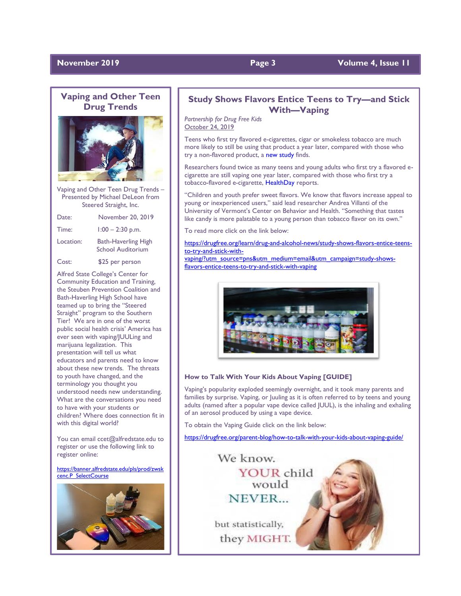#### **November 2019 Page 3** Volume 4, Issue 11

### **Vaping and Other Teen Drug Trends**



Vaping and Other Teen Drug Trends – Presented by Michael DeLeon from Steered Straight, Inc.

| Date:     | November 20, 2019                                      |
|-----------|--------------------------------------------------------|
| Time:     | $1:00 - 2:30$ p.m.                                     |
| Location: | <b>Bath-Haverling High</b><br><b>School Auditorium</b> |
| Cost:     | \$25 per person                                        |

Alfred State College's Center for Community Education and Training, the Steuben Prevention Coalition and Bath-Haverling High School have teamed up to bring the "Steered Straight" program to the Southern Tier! We are in one of the worst public social health crisis' America has ever seen with vaping/JUULing and marijuana legalization. This presentation will tell us what educators and parents need to know about these new trends. The threats to youth have changed, and the terminology you thought you understood needs new understanding. What are the conversations you need to have with your students or children? Where does connection fit in with this digital world?

You can email ccet@alfredstate.edu to register or use the following link to register online:

[https://banner.alfredstate.edu/pls/prod/zwsk](https://banner.alfredstate.edu/pls/prod/zwskcenc.P_SelectCourse) [cenc.P\\_SelectCourse](https://banner.alfredstate.edu/pls/prod/zwskcenc.P_SelectCourse)



#### **Study Shows Flavors Entice Teens to Try—and Stick With—Vaping**

*Partnership for Drug Free Kids* October 24, 2019

Teens who first try flavored e-cigarettes, cigar or smokeless tobacco are much more likely to still be using that product a year later, compared with those who try a non-flavored product, a [new study](https://jamanetwork.com/journals/jamanetworkopen/fullarticle/2753396) finds.

Researchers found twice as many teens and young adults who first try a flavored ecigarette are still vaping one year later, compared with those who first try a tobacco-flavored e-cigarette, [HealthDay](https://consumer.healthday.com/cancer-information-5/electronic-cigarettes-970/flavors-draw-young-people-to-lifetime-habit-of-vaping-study-shows-751498.html) reports.

"Children and youth prefer sweet flavors. We know that flavors increase appeal to young or inexperienced users," said lead researcher Andrea Villanti of the University of Vermont's Center on Behavior and Health. "Something that tastes like candy is more palatable to a young person than tobacco flavor on its own."

To read more click on the link below:

[https://drugfree.org/learn/drug-and-alcohol-news/study-shows-flavors-entice-teens](https://drugfree.org/learn/drug-and-alcohol-news/study-shows-flavors-entice-teens-to-try-and-stick-with-vaping/?utm_source=pns&utm_medium=email&utm_campaign=study-shows-flavors-entice-teens-to-try-and-stick-with-vaping)[to-try-and-stick-with-](https://drugfree.org/learn/drug-and-alcohol-news/study-shows-flavors-entice-teens-to-try-and-stick-with-vaping/?utm_source=pns&utm_medium=email&utm_campaign=study-shows-flavors-entice-teens-to-try-and-stick-with-vaping)

[vaping/?utm\\_source=pns&utm\\_medium=email&utm\\_campaign=study-shows](https://drugfree.org/learn/drug-and-alcohol-news/study-shows-flavors-entice-teens-to-try-and-stick-with-vaping/?utm_source=pns&utm_medium=email&utm_campaign=study-shows-flavors-entice-teens-to-try-and-stick-with-vaping)[flavors-entice-teens-to-try-and-stick-with-vaping](https://drugfree.org/learn/drug-and-alcohol-news/study-shows-flavors-entice-teens-to-try-and-stick-with-vaping/?utm_source=pns&utm_medium=email&utm_campaign=study-shows-flavors-entice-teens-to-try-and-stick-with-vaping)



#### **How to Talk With Your Kids About Vaping [GUIDE]**

Vaping's popularity exploded seemingly overnight, and it took many parents and families by surprise. Vaping, or Juuling as it is often referred to by teens and young adults (named after a popular vape device called JUUL), is the inhaling and exhaling of an aerosol produced by using a vape device.

To obtain the Vaping Guide click on the link below:

<https://drugfree.org/parent-blog/how-to-talk-with-your-kids-about-vaping-guide/>

We know. YOUR child would NEVER.

but statistically,

they MIGHT.